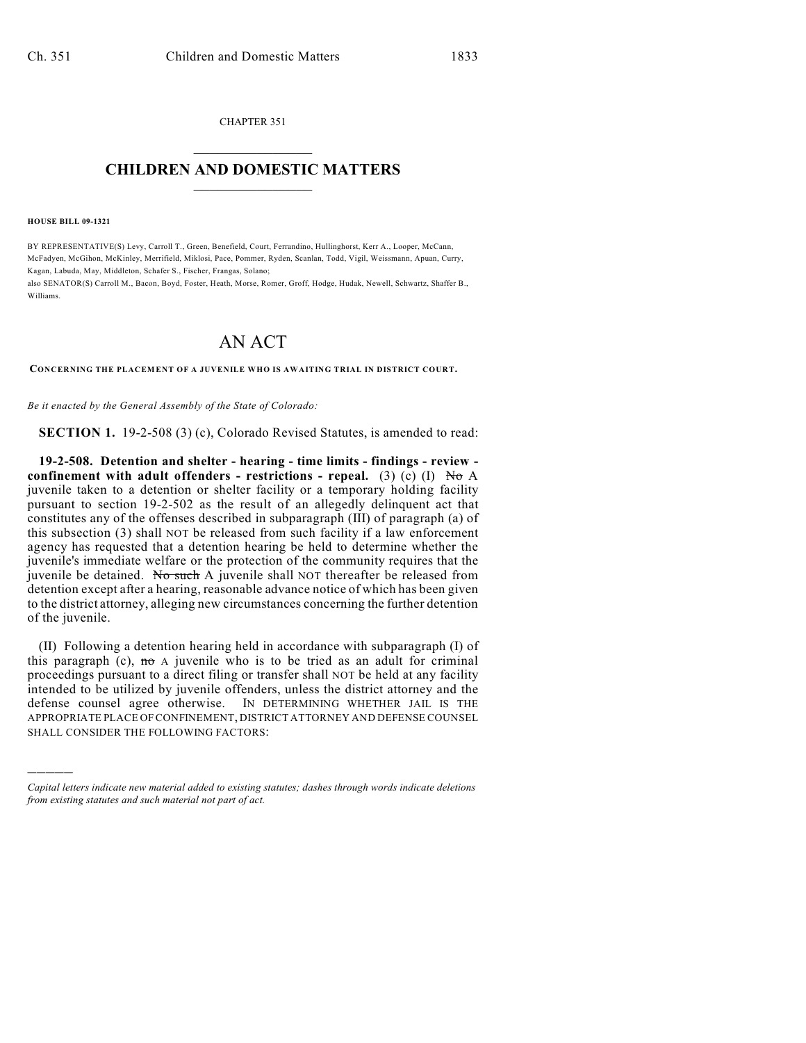CHAPTER 351  $\overline{\phantom{a}}$  . The set of the set of the set of the set of the set of the set of the set of the set of the set of the set of the set of the set of the set of the set of the set of the set of the set of the set of the set o

## **CHILDREN AND DOMESTIC MATTERS**  $\_$

**HOUSE BILL 09-1321**

)))))

BY REPRESENTATIVE(S) Levy, Carroll T., Green, Benefield, Court, Ferrandino, Hullinghorst, Kerr A., Looper, McCann, McFadyen, McGihon, McKinley, Merrifield, Miklosi, Pace, Pommer, Ryden, Scanlan, Todd, Vigil, Weissmann, Apuan, Curry, Kagan, Labuda, May, Middleton, Schafer S., Fischer, Frangas, Solano;

also SENATOR(S) Carroll M., Bacon, Boyd, Foster, Heath, Morse, Romer, Groff, Hodge, Hudak, Newell, Schwartz, Shaffer B., Williams.

## AN ACT

**CONCERNING THE PLACEMENT OF A JUVENILE WHO IS AWAITING TRIAL IN DISTRICT COURT.**

*Be it enacted by the General Assembly of the State of Colorado:*

**SECTION 1.** 19-2-508 (3) (c), Colorado Revised Statutes, is amended to read:

**19-2-508. Detention and shelter - hearing - time limits - findings - review confinement with adult offenders - restrictions - repeal.** (3) (c) (I)  $N\sigma A$ juvenile taken to a detention or shelter facility or a temporary holding facility pursuant to section 19-2-502 as the result of an allegedly delinquent act that constitutes any of the offenses described in subparagraph (III) of paragraph (a) of this subsection (3) shall NOT be released from such facility if a law enforcement agency has requested that a detention hearing be held to determine whether the juvenile's immediate welfare or the protection of the community requires that the juvenile be detained. No such A juvenile shall NOT thereafter be released from detention except after a hearing, reasonable advance notice of which has been given to the district attorney, alleging new circumstances concerning the further detention of the juvenile.

(II) Following a detention hearing held in accordance with subparagraph (I) of this paragraph (c),  $m\sigma A$  juvenile who is to be tried as an adult for criminal proceedings pursuant to a direct filing or transfer shall NOT be held at any facility intended to be utilized by juvenile offenders, unless the district attorney and the defense counsel agree otherwise. IN DETERMINING WHETHER JAIL IS THE APPROPRIATE PLACE OF CONFINEMENT, DISTRICT ATTORNEY AND DEFENSE COUNSEL SHALL CONSIDER THE FOLLOWING FACTORS:

*Capital letters indicate new material added to existing statutes; dashes through words indicate deletions from existing statutes and such material not part of act.*